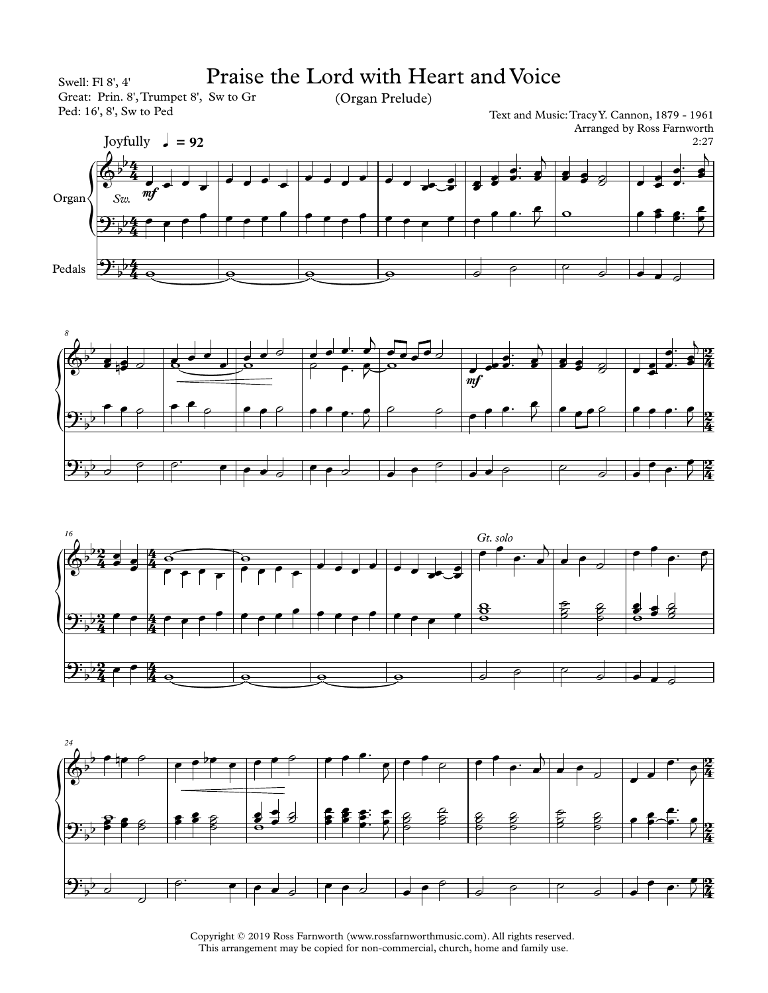





Copyright © 2019 Ross Farnworth (www.rossfarnworthmusic.com). All rights reserved. This arrangement may be copied for non-commercial, church, home and family use.